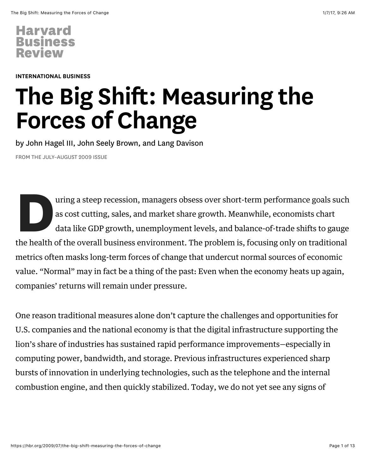# Harvard **Review**

#### [INTERNATIONAL BUSINESS](https://hbr.org/topic/international-business)

# The Big Shift: Measuring the Forces of Change

by [John Hagel III](https://hbr.org/search?term=john+hagel+iii), [John Seely Brown,](https://hbr.org/search?term=john+seely+brown) and [Lang Davison](https://hbr.org/search?term=lang+davison)

FROM THE JULY–AUGUST 2009 ISSUE

Turing a steep recession, managers obsess over short-term performance goals such<br>as cost cutting, sales, and market share growth. Meanwhile, economists chart<br>data like GDP growth, unemployment levels, and balance-of-trade as cost cutting, sales, and market share growth. Meanwhile, economists chart data like GDP growth, unemployment levels, and balance-of-trade shifts to gauge metrics often masks long-term forces of change that undercut normal sources of economic value. "Normal" may in fact be a thing of the past: Even when the economy heats up again, companies' returns will remain under pressure.

One reason traditional measures alone don't capture the challenges and opportunities for U.S. companies and the national economy is that the digital infrastructure supporting the lion's share of industries has sustained rapid performance improvements—especially in computing power, bandwidth, and storage. Previous infrastructures experienced sharp bursts of innovation in underlying technologies, such as the telephone and the internal combustion engine, and then quickly stabilized. Today, we do not yet see any signs of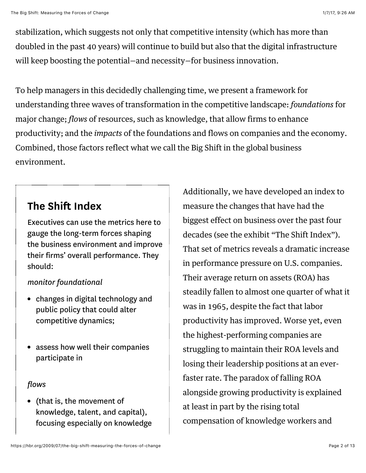stabilization, which suggests not only that competitive intensity (which has more than doubled in the past 40 years) will continue to build but also that the digital infrastructure will keep boosting the potential—and necessity—for business innovation.

To help managers in this decidedly challenging time, we present a framework for understanding three waves of transformation in the competitive landscape: *foundations* for major change; *flows* of resources, such as knowledge, that allow firms to enhance productivity; and the *impacts* of the foundations and flows on companies and the economy. Combined, those factors reflect what we call the Big Shift in the global business environment.

# The Shift Index

Executives can use the metrics here to gauge the long-term forces shaping the business environment and improve their firms' overall performance. They should:

#### monitor foundational

- changes in digital technology and public policy that could alter competitive dynamics;
- assess how well their companies participate in

#### flows

(that is, the movement of knowledge, talent, and capital), focusing especially on knowledge Additionally, we have developed an index to measure the changes that have had the biggest effect on business over the past four decades (see the exhibit "The Shift Index"). That set of metrics reveals a dramatic increase in performance pressure on U.S. companies. Their average return on assets (ROA) has steadily fallen to almost one quarter of what it was in 1965, despite the fact that labor productivity has improved. Worse yet, even the highest-performing companies are struggling to maintain their ROA levels and losing their leadership positions at an everfaster rate. The paradox of falling ROA alongside growing productivity is explained at least in part by the rising total compensation of knowledge workers and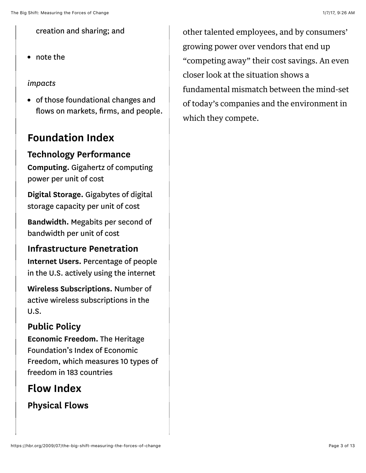creation and sharing; and

• note the

#### impacts

• of those foundational changes and flows on markets, firms, and people.

# Foundation Index

#### Technology Performance

Computing. Gigahertz of computing power per unit of cost

Digital Storage. Gigabytes of digital storage capacity per unit of cost

Bandwidth. Megabits per second of bandwidth per unit of cost

#### Infrastructure Penetration

Internet Users. Percentage of people in the U.S. actively using the internet

Wireless Subscriptions. Number of active wireless subscriptions in the U.S.

#### Public Policy

Economic Freedom. The Heritage Foundation's Index of Economic Freedom, which measures 10 types of freedom in 183 countries

# Flow Index

#### Physical Flows

other talented employees, and by consumers' growing power over vendors that end up "competing away" their cost savings. An even closer look at the situation shows a fundamental mismatch between the mind-set of today's companies and the environment in which they compete.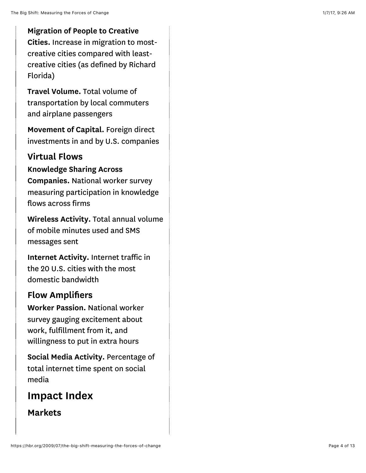Migration of People to Creative Cities. Increase in migration to mostcreative cities compared with leastcreative cities (as defined by Richard Florida)

Travel Volume. Total volume of transportation by local commuters and airplane passengers

Movement of Capital. Foreign direct investments in and by U.S. companies

#### Virtual Flows

#### Knowledge Sharing Across

Companies. National worker survey measuring participation in knowledge flows across firms

Wireless Activity. Total annual volume of mobile minutes used and SMS messages sent

Internet Activity. Internet traffic in the 20 U.S. cities with the most domestic bandwidth

#### Flow Amplifiers

Worker Passion. National worker survey gauging excitement about work, fulfillment from it, and willingness to put in extra hours

Social Media Activity. Percentage of total internet time spent on social media

Impact Index **Markets**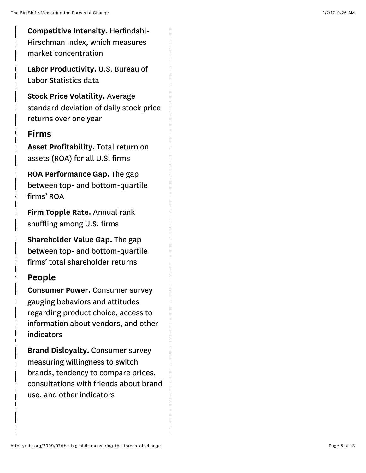Competitive Intensity. Herfindahl-Hirschman Index, which measures market concentration

Labor Productivity. U.S. Bureau of Labor Statistics data

Stock Price Volatility. Average standard deviation of daily stock price returns over one year

#### Firms

Asset Profitability. Total return on assets (ROA) for all U.S. firms

ROA Performance Gap. The gap between top- and bottom-quartile firms' ROA

Firm Topple Rate. Annual rank shuffling among U.S. firms

Shareholder Value Gap. The gap between top- and bottom-quartile firms' total shareholder returns

#### People

Consumer Power. Consumer survey gauging behaviors and attitudes regarding product choice, access to information about vendors, and other indicators

Brand Disloyalty. Consumer survey measuring willingness to switch brands, tendency to compare prices, consultations with friends about brand use, and other indicators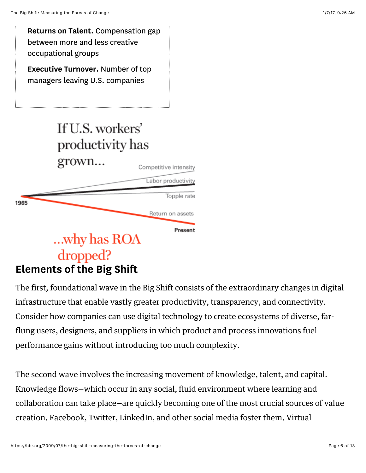

The first, foundational wave in the Big Shift consists of the extraordinary changes in digital infrastructure that enable vastly greater productivity, transparency, and connectivity. Consider how companies can use digital technology to create ecosystems of diverse, farflung users, designers, and suppliers in which product and process innovations fuel performance gains without introducing too much complexity.

The second wave involves the increasing movement of knowledge, talent, and capital. Knowledge flows—which occur in any social, fluid environment where learning and collaboration can take place—are quickly becoming one of the most crucial sources of value creation. Facebook, Twitter, LinkedIn, and other social media foster them. Virtual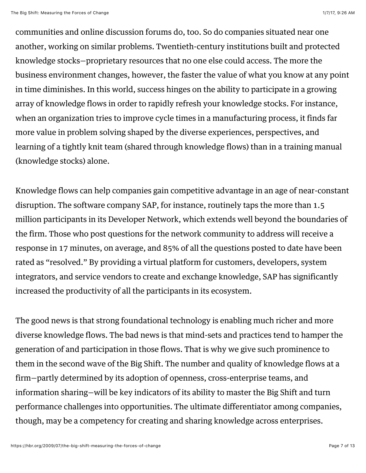communities and online discussion forums do, too. So do companies situated near one another, working on similar problems. Twentieth-century institutions built and protected knowledge stocks—proprietary resources that no one else could access. The more the business environment changes, however, the faster the value of what you know at any point in time diminishes. In this world, success hinges on the ability to participate in a growing array of knowledge flows in order to rapidly refresh your knowledge stocks. For instance, when an organization tries to improve cycle times in a manufacturing process, it finds far more value in problem solving shaped by the diverse experiences, perspectives, and learning of a tightly knit team (shared through knowledge flows) than in a training manual (knowledge stocks) alone.

Knowledge flows can help companies gain competitive advantage in an age of near-constant disruption. The software company SAP, for instance, routinely taps the more than 1.5 million participants in its Developer Network, which extends well beyond the boundaries of the firm. Those who post questions for the network community to address will receive a response in 17 minutes, on average, and 85% of all the questions posted to date have been rated as "resolved." By providing a virtual platform for customers, developers, system integrators, and service vendors to create and exchange knowledge, SAP has significantly increased the productivity of all the participants in its ecosystem.

The good news is that strong foundational technology is enabling much richer and more diverse knowledge flows. The bad news is that mind-sets and practices tend to hamper the generation of and participation in those flows. That is why we give such prominence to them in the second wave of the Big Shift. The number and quality of knowledge flows at a firm—partly determined by its adoption of openness, cross-enterprise teams, and information sharing—will be key indicators of its ability to master the Big Shift and turn performance challenges into opportunities. The ultimate differentiator among companies, though, may be a competency for creating and sharing knowledge across enterprises.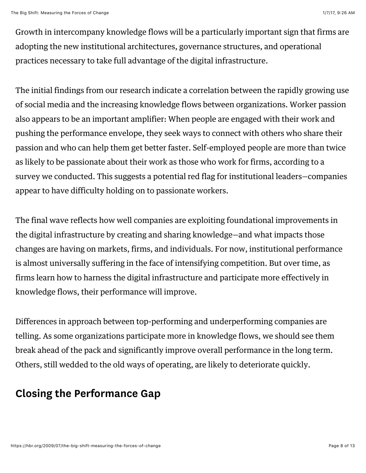Growth in intercompany knowledge flows will be a particularly important sign that firms are adopting the new institutional architectures, governance structures, and operational practices necessary to take full advantage of the digital infrastructure.

The initial findings from our research indicate a correlation between the rapidly growing use of social media and the increasing knowledge flows between organizations. Worker passion also appears to be an important amplifier: When people are engaged with their work and pushing the performance envelope, they seek ways to connect with others who share their passion and who can help them get better faster. Self-employed people are more than twice as likely to be passionate about their work as those who work for firms, according to a survey we conducted. This suggests a potential red flag for institutional leaders—companies appear to have difficulty holding on to passionate workers.

The final wave reflects how well companies are exploiting foundational improvements in the digital infrastructure by creating and sharing knowledge—and what impacts those changes are having on markets, firms, and individuals. For now, institutional performance is almost universally suffering in the face of intensifying competition. But over time, as firms learn how to harness the digital infrastructure and participate more effectively in knowledge flows, their performance will improve.

Differences in approach between top-performing and underperforming companies are telling. As some organizations participate more in knowledge flows, we should see them break ahead of the pack and significantly improve overall performance in the long term. Others, still wedded to the old ways of operating, are likely to deteriorate quickly.

# Closing the Performance Gap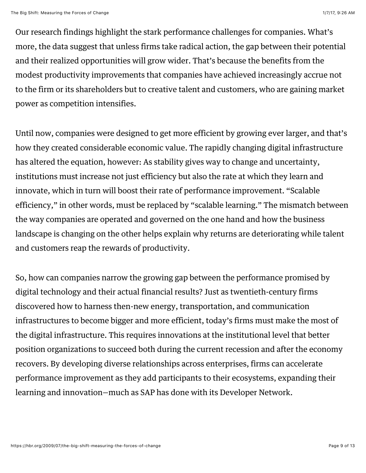Our research findings highlight the stark performance challenges for companies. What's more, the data suggest that unless firms take radical action, the gap between their potential and their realized opportunities will grow wider. That's because the benefits from the modest productivity improvements that companies have achieved increasingly accrue not to the firm or its shareholders but to creative talent and customers, who are gaining market power as competition intensifies.

Until now, companies were designed to get more efficient by growing ever larger, and that's how they created considerable economic value. The rapidly changing digital infrastructure has altered the equation, however: As stability gives way to change and uncertainty, institutions must increase not just efficiency but also the rate at which they learn and innovate, which in turn will boost their rate of performance improvement. "Scalable efficiency," in other words, must be replaced by "scalable learning." The mismatch between the way companies are operated and governed on the one hand and how the business landscape is changing on the other helps explain why returns are deteriorating while talent and customers reap the rewards of productivity.

So, how can companies narrow the growing gap between the performance promised by digital technology and their actual financial results? Just as twentieth-century firms discovered how to harness then-new energy, transportation, and communication infrastructures to become bigger and more efficient, today's firms must make the most of the digital infrastructure. This requires innovations at the institutional level that better position organizations to succeed both during the current recession and after the economy recovers. By developing diverse relationships across enterprises, firms can accelerate performance improvement as they add participants to their ecosystems, expanding their learning and innovation—much as SAP has done with its Developer Network.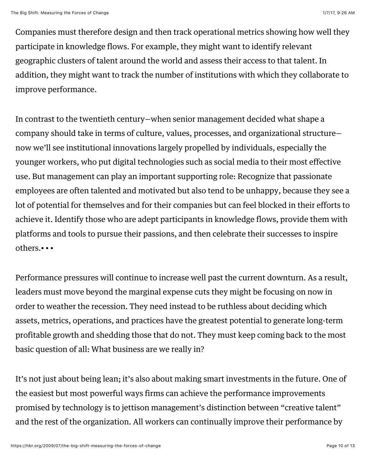Companies must therefore design and then track operational metrics showing how well they participate in knowledge flows. For example, they might want to identify relevant geographic clusters of talent around the world and assess their access to that talent. In addition, they might want to track the number of institutions with which they collaborate to improve performance.

In contrast to the twentieth century—when senior management decided what shape a company should take in terms of culture, values, processes, and organizational structure now we'll see institutional innovations largely propelled by individuals, especially the younger workers, who put digital technologies such as social media to their most effective use. But management can play an important supporting role: Recognize that passionate employees are often talented and motivated but also tend to be unhappy, because they see a lot of potential for themselves and for their companies but can feel blocked in their efforts to achieve it. Identify those who are adept participants in knowledge flows, provide them with platforms and tools to pursue their passions, and then celebrate their successes to inspire others.• • •

Performance pressures will continue to increase well past the current downturn. As a result, leaders must move beyond the marginal expense cuts they might be focusing on now in order to weather the recession. They need instead to be ruthless about deciding which assets, metrics, operations, and practices have the greatest potential to generate long-term profitable growth and shedding those that do not. They must keep coming back to the most basic question of all: What business are we really in?

It's not just about being lean; it's also about making smart investments in the future. One of the easiest but most powerful ways firms can achieve the performance improvements promised by technology is to jettison management's distinction between "creative talent" and the rest of the organization. All workers can continually improve their performance by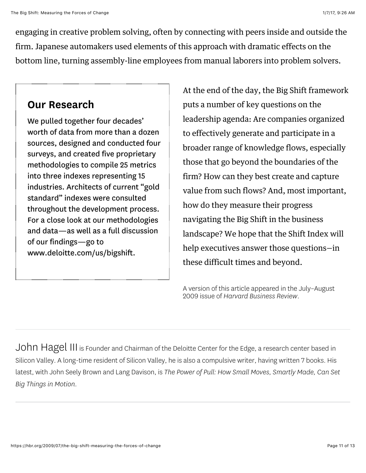engaging in creative problem solving, often by connecting with peers inside and outside the firm. Japanese automakers used elements of this approach with dramatic effects on the bottom line, turning assembly-line employees from manual laborers into problem solvers.

# Our Research

We pulled together four decades' worth of data from more than a dozen sources, designed and conducted four surveys, and created five proprietary methodologies to compile 25 metrics into three indexes representing 15 industries. Architects of current "gold standard" indexes were consulted throughout the development process. For a close look at our methodologies and data—as well as a full discussion of our findings—go to www.deloitte.com/us/bigshift.

At the end of the day, the Big Shift framework puts a number of key questions on the leadership agenda: Are companies organized to effectively generate and participate in a broader range of knowledge flows, especially those that go beyond the boundaries of the firm? How can they best create and capture value from such flows? And, most important, how do they measure their progress navigating the Big Shift in the business landscape? We hope that the Shift Index will help executives answer those questions—in these difficult times and beyond.

[A version of this article appeared in the July–August](https://hbr.org/archive-toc/BR0907) 2009 issue of Harvard Business Review.

[John Hagel III](https://hbr.org/search?term=john+hagel+iii) is Founder and Chairman of the Deloitte [Center for the Edge](http://www.deloitte.com/view/en_US/us/Insights/centers/centers-center-for-edge/index.htm), a research center based in Silicon Valley. A long-time resident of Silicon Valley, he is also a compulsive writer, having written 7 books. His [latest, with John Seely Brown and Lang Davison, is The Power of Pull: How Small Moves, Smartly Made, Can Set](http://www.amazon.com/Power-Pull-Smartly-Things-Motion/dp/B004NSVE8M/ref=sr_1_1?s=books&ie=UTF8&qid=1371915272&sr=1-1) Big Things in Motion.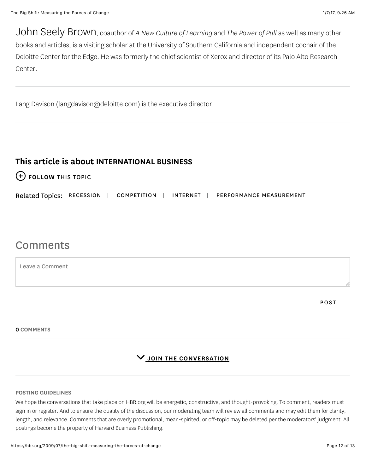[John Seely Brown](https://hbr.org/search?term=john+seely+brown), coauthor of A New Culture of Learning and The Power of Pull as well as many other books and articles, is a visiting scholar at the University of Southern California and independent cochair of the Deloitte Center for the Edge. He was formerly the chief scientist of Xerox and director of its Palo Alto Research Center.

Lang Davison ([langdavison@deloitte.com\)](mailto:langdavison@deloitte.com) is the executive director.

#### This article is about [INTERNATIONAL BUSINESS](https://hbr.org/topic/international-business)

[FOLLOW THIS TOPIC](https://hbr.org/2009/07/the-big-shift-measuring-the-forces-of-change#)

Related Topics: [RECESSION](https://hbr.org/topic/recession) | [COMPETITION](https://hbr.org/topic/competition) | [INTERNET](https://hbr.org/topic/internet) | [PERFORMANCE MEASUREMENT](https://hbr.org/topic/performance-measurement)

### Comments

Leave a Comment

POST

0 COMMENTS

#### $\vee$  JOIN THE CONVERSATION

#### POSTING GUIDELINES

We hope the conversations that take place on HBR.org will be energetic, constructive, and thought-provoking. To comment, readers must [sign in](https://hbr.org/sign-in) or [register](https://hbr.org/register). And to ensure the quality of the discussion, our moderating team will review all comments and may edit them for clarity, length, and relevance. Comments that are overly promotional, mean-spirited, or off-topic may be deleted per the moderators' judgment. All postings become the property of Harvard Business Publishing.